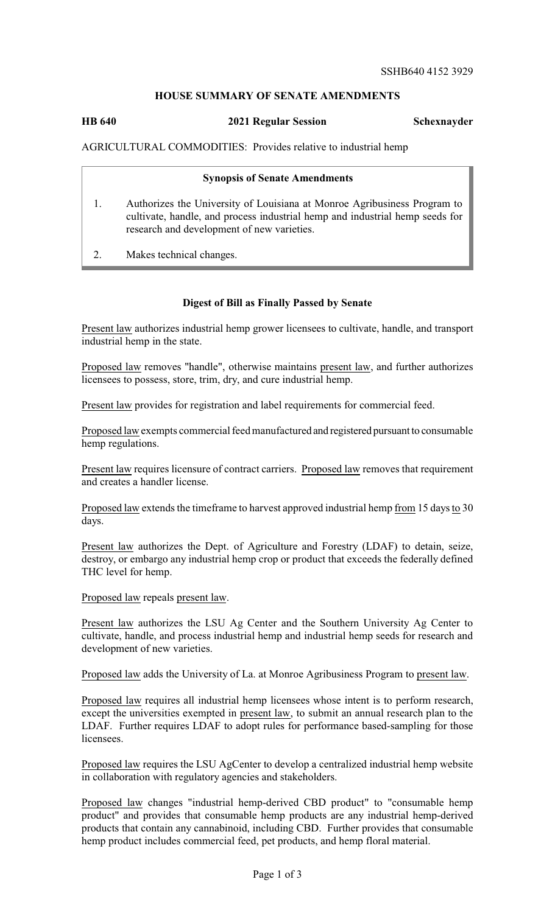## **HOUSE SUMMARY OF SENATE AMENDMENTS**

## **HB 640 2021 Regular Session Schexnayder**

AGRICULTURAL COMMODITIES: Provides relative to industrial hemp

| <b>Synopsis of Senate Amendments</b>                                                                                                                                                                   |
|--------------------------------------------------------------------------------------------------------------------------------------------------------------------------------------------------------|
| Authorizes the University of Louisiana at Monroe Agribusiness Program to<br>cultivate, handle, and process industrial hemp and industrial hemp seeds for<br>research and development of new varieties. |
| Makes technical changes.                                                                                                                                                                               |

## **Digest of Bill as Finally Passed by Senate**

Present law authorizes industrial hemp grower licensees to cultivate, handle, and transport industrial hemp in the state.

Proposed law removes "handle", otherwise maintains present law, and further authorizes licensees to possess, store, trim, dry, and cure industrial hemp.

Present law provides for registration and label requirements for commercial feed.

Proposed law exempts commercial feed manufacturedand registered pursuant to consumable hemp regulations.

Present law requires licensure of contract carriers. Proposed law removes that requirement and creates a handler license.

Proposed law extends the timeframe to harvest approved industrial hemp from 15 days to 30 days.

Present law authorizes the Dept. of Agriculture and Forestry (LDAF) to detain, seize, destroy, or embargo any industrial hemp crop or product that exceeds the federally defined THC level for hemp.

Proposed law repeals present law.

Present law authorizes the LSU Ag Center and the Southern University Ag Center to cultivate, handle, and process industrial hemp and industrial hemp seeds for research and development of new varieties.

Proposed law adds the University of La. at Monroe Agribusiness Program to present law.

Proposed law requires all industrial hemp licensees whose intent is to perform research, except the universities exempted in present law, to submit an annual research plan to the LDAF. Further requires LDAF to adopt rules for performance based-sampling for those licensees.

Proposed law requires the LSU AgCenter to develop a centralized industrial hemp website in collaboration with regulatory agencies and stakeholders.

Proposed law changes "industrial hemp-derived CBD product" to "consumable hemp product" and provides that consumable hemp products are any industrial hemp-derived products that contain any cannabinoid, including CBD. Further provides that consumable hemp product includes commercial feed, pet products, and hemp floral material.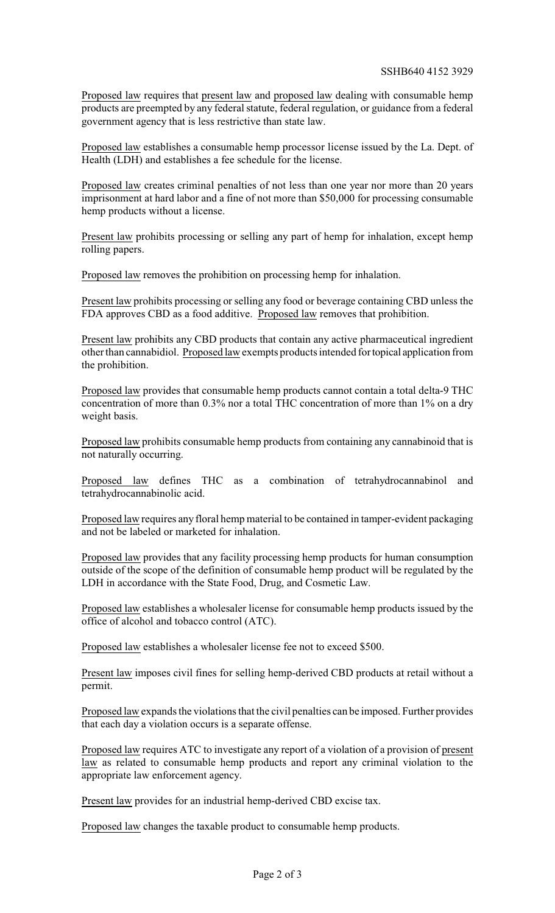Proposed law requires that present law and proposed law dealing with consumable hemp products are preempted by any federal statute, federal regulation, or guidance from a federal government agency that is less restrictive than state law.

Proposed law establishes a consumable hemp processor license issued by the La. Dept. of Health (LDH) and establishes a fee schedule for the license.

Proposed law creates criminal penalties of not less than one year nor more than 20 years imprisonment at hard labor and a fine of not more than \$50,000 for processing consumable hemp products without a license.

Present law prohibits processing or selling any part of hemp for inhalation, except hemp rolling papers.

Proposed law removes the prohibition on processing hemp for inhalation.

Present law prohibits processing or selling any food or beverage containing CBD unless the FDA approves CBD as a food additive. Proposed law removes that prohibition.

Present law prohibits any CBD products that contain any active pharmaceutical ingredient other than cannabidiol. Proposed law exempts products intended fortopical application from the prohibition.

Proposed law provides that consumable hemp products cannot contain a total delta-9 THC concentration of more than 0.3% nor a total THC concentration of more than 1% on a dry weight basis.

Proposed law prohibits consumable hemp products from containing any cannabinoid that is not naturally occurring.

Proposed law defines THC as a combination of tetrahydrocannabinol and tetrahydrocannabinolic acid.

Proposed law requires any floral hemp material to be contained in tamper-evident packaging and not be labeled or marketed for inhalation.

Proposed law provides that any facility processing hemp products for human consumption outside of the scope of the definition of consumable hemp product will be regulated by the LDH in accordance with the State Food, Drug, and Cosmetic Law.

Proposed law establishes a wholesaler license for consumable hemp products issued by the office of alcohol and tobacco control (ATC).

Proposed law establishes a wholesaler license fee not to exceed \$500.

Present law imposes civil fines for selling hemp-derived CBD products at retail without a permit.

Proposed law expands the violations that the civil penalties can be imposed. Further provides that each day a violation occurs is a separate offense.

Proposed law requires ATC to investigate any report of a violation of a provision of present law as related to consumable hemp products and report any criminal violation to the appropriate law enforcement agency.

Present law provides for an industrial hemp-derived CBD excise tax.

Proposed law changes the taxable product to consumable hemp products.